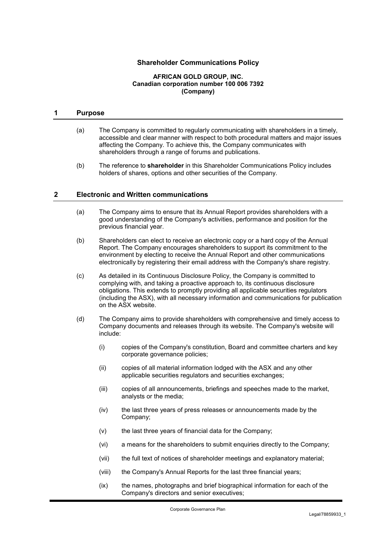# **Shareholder Communications Policy**

#### **AFRICAN GOLD GROUP, INC. Canadian corporation number 100 006 7392 (Company)**

#### **1 Purpose**

- (a) The Company is committed to regularly communicating with shareholders in a timely, accessible and clear manner with respect to both procedural matters and major issues affecting the Company. To achieve this, the Company communicates with shareholders through a range of forums and publications.
- (b) The reference to **shareholder** in this Shareholder Communications Policy includes holders of shares, options and other securities of the Company.

## **2 Electronic and Written communications**

- (a) The Company aims to ensure that its Annual Report provides shareholders with a good understanding of the Company's activities, performance and position for the previous financial year.
- (b) Shareholders can elect to receive an electronic copy or a hard copy of the Annual Report. The Company encourages shareholders to support its commitment to the environment by electing to receive the Annual Report and other communications electronically by registering their email address with the Company's share registry.
- (c) As detailed in its Continuous Disclosure Policy, the Company is committed to complying with, and taking a proactive approach to, its continuous disclosure obligations. This extends to promptly providing all applicable securities regulators (including the ASX), with all necessary information and communications for publication on the ASX website.
- (d) The Company aims to provide shareholders with comprehensive and timely access to Company documents and releases through its website. The Company's website will include:
	- (i) copies of the Company's constitution, Board and committee charters and key corporate governance policies;
	- (ii) copies of all material information lodged with the ASX and any other applicable securities regulators and securities exchanges;
	- (iii) copies of all announcements, briefings and speeches made to the market, analysts or the media;
	- (iv) the last three years of press releases or announcements made by the Company;
	- (v) the last three years of financial data for the Company;
	- (vi) a means for the shareholders to submit enquiries directly to the Company;
	- (vii) the full text of notices of shareholder meetings and explanatory material;
	- (viii) the Company's Annual Reports for the last three financial years;
	- (ix) the names, photographs and brief biographical information for each of the Company's directors and senior executives;